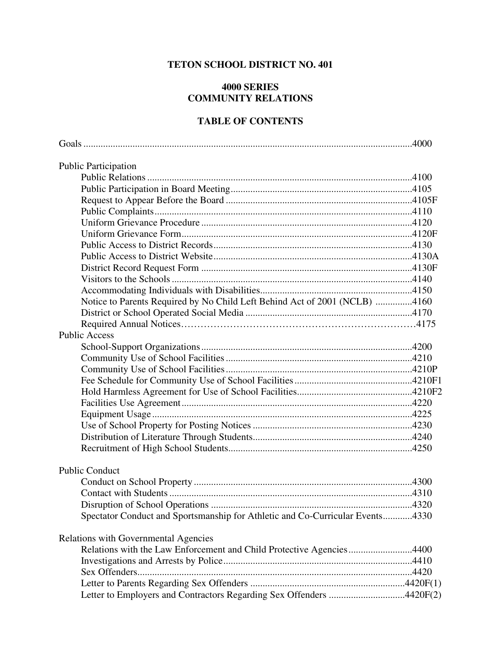## **TETON SCHOOL DISTRICT NO. 401**

## **4000 SERIES COMMUNITY RELATIONS**

## **TABLE OF CONTENTS**

| <b>Public Participation</b>                                                   |  |
|-------------------------------------------------------------------------------|--|
|                                                                               |  |
|                                                                               |  |
|                                                                               |  |
|                                                                               |  |
|                                                                               |  |
|                                                                               |  |
|                                                                               |  |
|                                                                               |  |
|                                                                               |  |
|                                                                               |  |
|                                                                               |  |
| Notice to Parents Required by No Child Left Behind Act of 2001 (NCLB) 4160    |  |
|                                                                               |  |
|                                                                               |  |
| <b>Public Access</b>                                                          |  |
|                                                                               |  |
|                                                                               |  |
|                                                                               |  |
|                                                                               |  |
|                                                                               |  |
|                                                                               |  |
|                                                                               |  |
|                                                                               |  |
|                                                                               |  |
|                                                                               |  |
|                                                                               |  |
| <b>Public Conduct</b>                                                         |  |
|                                                                               |  |
|                                                                               |  |
|                                                                               |  |
| Spectator Conduct and Sportsmanship for Athletic and Co-Curricular Events4330 |  |
| <b>Relations with Governmental Agencies</b>                                   |  |
| Relations with the Law Enforcement and Child Protective Agencies4400          |  |
|                                                                               |  |
|                                                                               |  |
|                                                                               |  |
| Letter to Employers and Contractors Regarding Sex Offenders 4420F(2)          |  |